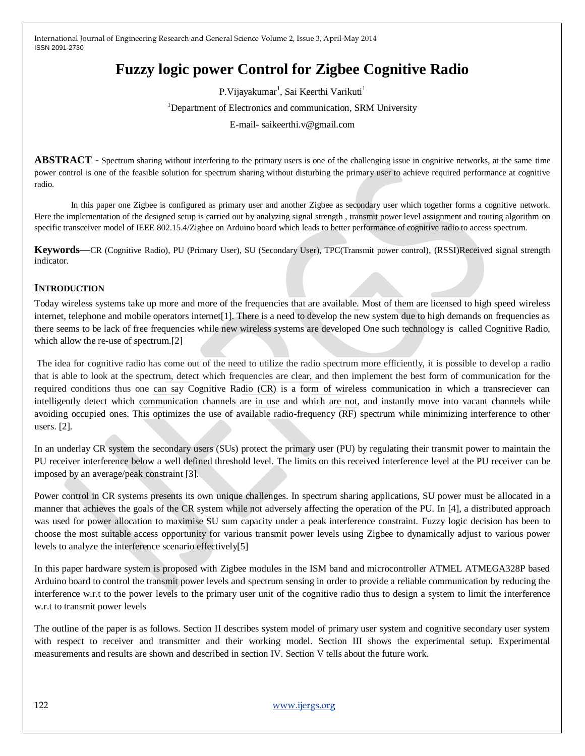# **Fuzzy logic power Control for Zigbee Cognitive Radio**

P.Vijayakumar<sup>1</sup>, Sai Keerthi Varikuti<sup>1</sup>

<sup>1</sup>Department of Electronics and communication, SRM University

E-mail- saikeerthi.v@gmail.com

**ABSTRACT** - Spectrum sharing without interfering to the primary users is one of the challenging issue in cognitive networks, at the same time power control is one of the feasible solution for spectrum sharing without disturbing the primary user to achieve required performance at cognitive radio.

In this paper one Zigbee is configured as primary user and another Zigbee as secondary user which together forms a cognitive network. Here the implementation of the designed setup is carried out by analyzing signal strength , transmit power level assignment and routing algorithm on specific transceiver model of IEEE 802.15.4/Zigbee on Arduino board which leads to better performance of cognitive radio to access spectrum.

**Keywords—**CR (Cognitive Radio), PU (Primary User), SU (Secondary User), TPC(Transmit power control), (RSSI)Received signal strength indicator.

## **INTRODUCTION**

Today wireless systems take up more and more of the frequencies that are available. Most of them are licensed to high speed wireless internet, telephone and mobile operators internet[1]. There is a need to develop the new system due to high demands on frequencies as there seems to be lack of free frequencies while new wireless systems are developed One such technology is called Cognitive Radio, which allow the re-use of spectrum.[2]

The idea for cognitive radio has come out of the need to utilize the radio spectrum more efficiently, it is possible to develop a radio that is able to look at the spectrum, detect which frequencies are clear, and then implement the best form of communication for the required conditions thus one can say Cognitive Radio (CR) is a form of wireless communication in which a transreciever can intelligently detect which communication channels are in use and which are not, and instantly move into vacant channels while avoiding occupied ones. This optimizes the use of available radio-frequency (RF) spectrum while minimizing interference to other users. [2].

In an underlay CR system the secondary users (SUs) protect the primary user (PU) by regulating their transmit power to maintain the PU receiver interference below a well defined threshold level. The limits on this received interference level at the PU receiver can be imposed by an average/peak constraint [3].

Power control in CR systems presents its own unique challenges. In spectrum sharing applications, SU power must be allocated in a manner that achieves the goals of the CR system while not adversely affecting the operation of the PU. In [4], a distributed approach was used for power allocation to maximise SU sum capacity under a peak interference constraint. Fuzzy logic decision has been to choose the most suitable access opportunity for various transmit power levels using Zigbee to dynamically adjust to various power levels to analyze the interference scenario effectively[5]

In this paper hardware system is proposed with Zigbee modules in the ISM band and microcontroller ATMEL ATMEGA328P based Arduino board to control the transmit power levels and spectrum sensing in order to provide a reliable communication by reducing the interference w.r.t to the power levels to the primary user unit of the cognitive radio thus to design a system to limit the interference w.r.t to transmit power levels

The outline of the paper is as follows. Section II describes system model of primary user system and cognitive secondary user system with respect to receiver and transmitter and their working model. Section III shows the experimental setup. Experimental measurements and results are shown and described in section IV. Section V tells about the future work.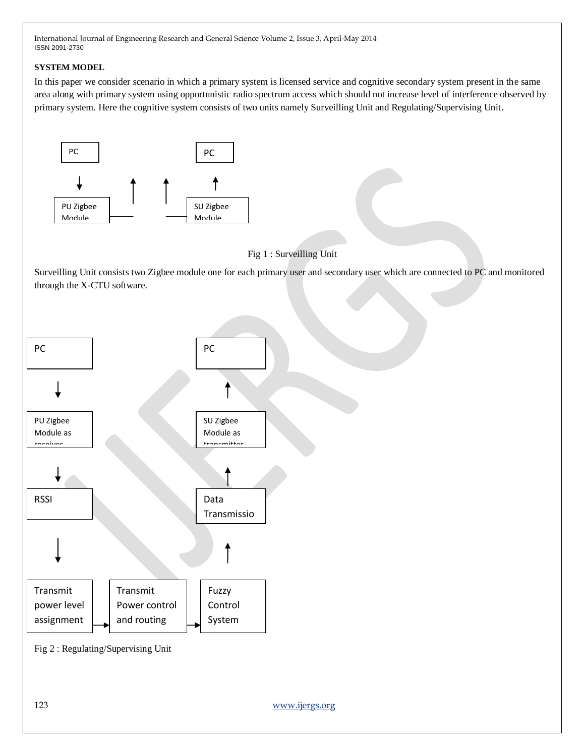## **SYSTEM MODEL**

In this paper we consider scenario in which a primary system is licensed service and cognitive secondary system present in the same area along with primary system using opportunistic radio spectrum access which should not increase level of interference observed by primary system. Here the cognitive system consists of two units namely Surveilling Unit and Regulating/Supervising Unit.



Fig 1 : Surveilling Unit

Surveilling Unit consists two Zigbee module one for each primary user and secondary user which are connected to PC and monitored through the X-CTU software.



Fig 2 : Regulating/Supervising Unit

123 [www.ijergs.org](http://www.ijergs.org/)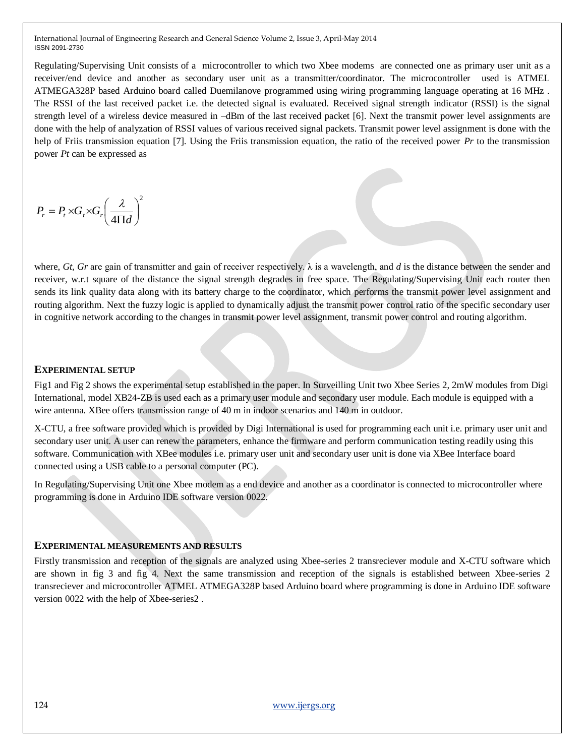Regulating/Supervising Unit consists of a microcontroller to which two Xbee modems are connected one as primary user unit as a receiver/end device and another as secondary user unit as a transmitter/coordinator. The microcontroller used is ATMEL ATMEGA328P based Arduino board called Duemilanove programmed using wiring programming language operating at 16 MHz . The RSSI of the last received packet i.e. the detected signal is evaluated. Received signal strength indicator (RSSI) is the signal strength level of a wireless device measured in –dBm of the last received packet [6]. Next the transmit power level assignments are done with the help of analyzation of RSSI values of various received signal packets. Transmit power level assignment is done with the help of Friis transmission equation [7]. Using the Friis transmission equation, the ratio of the received power *Pr* to the transmission power *Pt* can be expressed as

$$
P_r = P_t \times G_t \times G_r \left(\frac{\lambda}{4\Pi d}\right)^2
$$

where, *Gt, Gr* are gain of transmitter and gain of receiver respectively. λ is a wavelength, and *d* is the distance between the sender and receiver, w.r.t square of the distance the signal strength degrades in free space. The Regulating/Supervising Unit each router then sends its link quality data along with its battery charge to the coordinator, which performs the transmit power level assignment and routing algorithm. Next the fuzzy logic is applied to dynamically adjust the transmit power control ratio of the specific secondary user in cognitive network according to the changes in transmit power level assignment, transmit power control and routing algorithm.

#### **EXPERIMENTAL SETUP**

Fig1 and Fig 2 shows the experimental setup established in the paper. In Surveilling Unit two Xbee Series 2, 2mW modules from Digi International, model XB24-ZB is used each as a primary user module and secondary user module. Each module is equipped with a wire antenna. XBee offers transmission range of 40 m in indoor scenarios and 140 m in outdoor.

X-CTU, a free software provided which is provided by Digi International is used for programming each unit i.e. primary user unit and secondary user unit. A user can renew the parameters, enhance the firmware and perform communication testing readily using this software. Communication with XBee modules i.e. primary user unit and secondary user unit is done via XBee Interface board connected using a USB cable to a personal computer (PC).

In Regulating/Supervising Unit one Xbee modem as a end device and another as a coordinator is connected to microcontroller where programming is done in Arduino IDE software version 0022.

## **EXPERIMENTAL MEASUREMENTS AND RESULTS**

Firstly transmission and reception of the signals are analyzed using Xbee-series 2 transreciever module and X-CTU software which are shown in fig 3 and fig 4. Next the same transmission and reception of the signals is established between Xbee-series 2 transreciever and microcontroller ATMEL ATMEGA328P based Arduino board where programming is done in Arduino IDE software version 0022 with the help of Xbee-series2 .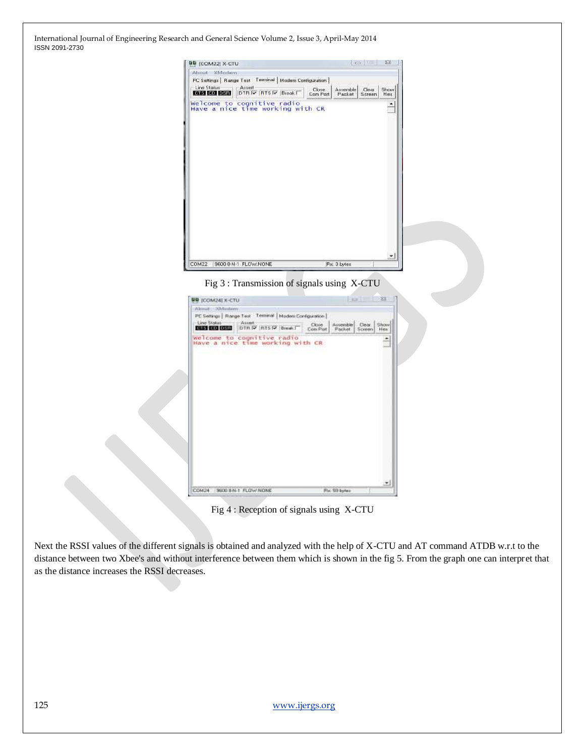| About XModem                                                       |                   |                    |                                       |
|--------------------------------------------------------------------|-------------------|--------------------|---------------------------------------|
| PC Settings   Range Text Terminal   Modem Configuration            |                   |                    |                                       |
| Line Status<br>Assert<br><b>Died Did Didd</b><br>DTR V RTS V Break | Close<br>Com Port | Assemble<br>Packet | Show<br>Clear<br><b>Screen</b><br>Hex |
| Welcome to cognitive radio<br>Have a nice time working with CR     |                   |                    |                                       |
|                                                                    |                   |                    | ×.                                    |





Fig 4 : Reception of signals using X-CTU

Next the RSSI values of the different signals is obtained and analyzed with the help of X-CTU and AT command ATDB w.r.t to the distance between two Xbee's and without interference between them which is shown in the fig 5. From the graph one can interpret that as the distance increases the RSSI decreases.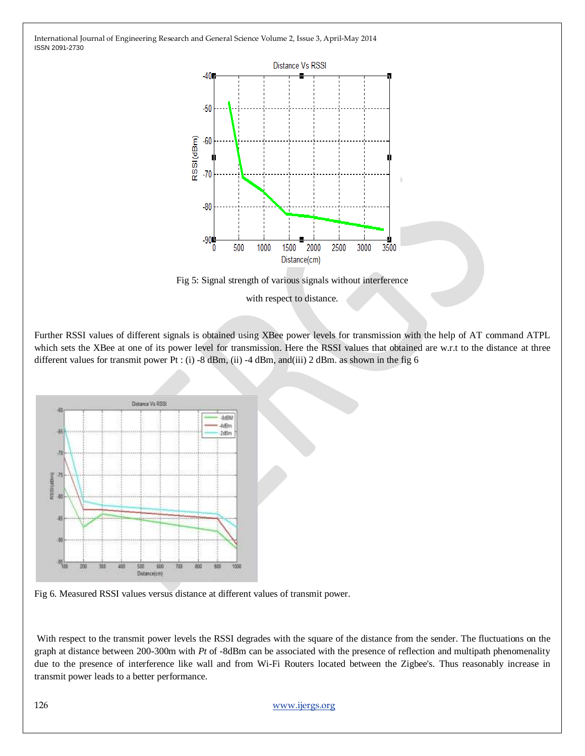



with respect to distance.

Further RSSI values of different signals is obtained using XBee power levels for transmission with the help of AT command ATPL which sets the XBee at one of its power level for transmission. Here the RSSI values that obtained are w.r.t to the distance at three different values for transmit power Pt : (i) -8 dBm, (ii) -4 dBm, and(iii) 2 dBm. as shown in the fig 6





With respect to the transmit power levels the RSSI degrades with the square of the distance from the sender. The fluctuations on the graph at distance between 200-300m with *Pt* of -8dBm can be associated with the presence of reflection and multipath phenomenality due to the presence of interference like wall and from Wi-Fi Routers located between the Zigbee's. Thus reasonably increase in transmit power leads to a better performance.